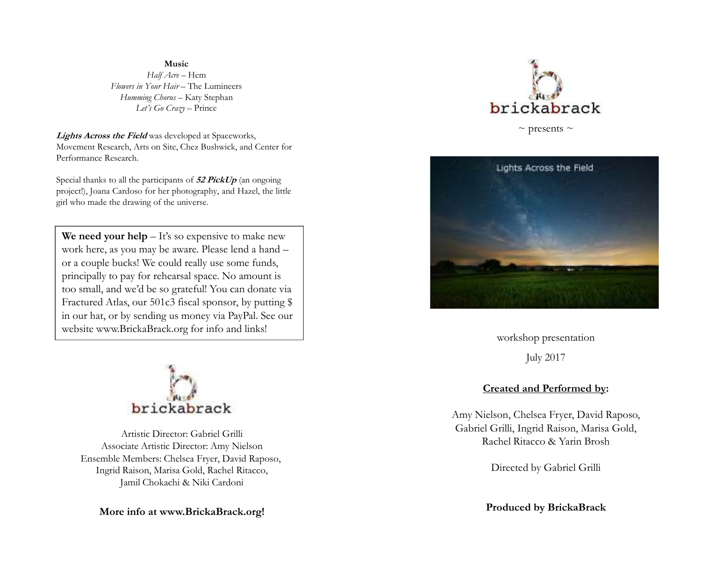## **Music** *Half Acre* – Hem *Flowers in Your Hair* – The Lumineers *Humming Chorus* – Katy Stephan *Let's Go Crazy* – Prince

 **Lights Across the Field** was developed at Spaceworks, Movement Research, Arts on Site, Chez Bushwick, and Center for Performance Research.

Special thanks to all the participants of **52 PickUp** (an ongoing project!), Joana Cardoso for her photography, and Hazel, the little girl who made the drawing of the universe.

We need your help – It's so expensive to make new work here, as you may be aware. Please lend a hand –or a couple bucks! We could really use some funds, principally to pay for rehearsal space. No amount is too small, and we'd be so grateful! You can donate via Fractured Atlas, our 501c3 fiscal sponsor, by putting \$ in our hat, or by sending us money via PayPal. See our website www.BrickaBrack.org for info and links!



Artistic Director: Gabriel GrilliAssociate Artistic Director: Amy Nielson Ensemble Members: Chelsea Fryer, David Raposo, Ingrid Raison, Marisa Gold, Rachel Ritacco, Jamil Chokachi & Niki Cardoni

**More info at www.BrickaBrack.org!**



 $\sim$  presents  $\sim$ 



workshop presentationJuly 2017

## **Created and Performed by:**

Amy Nielson, Chelsea Fryer, David Raposo, Gabriel Grilli, Ingrid Raison, Marisa Gold, Rachel Ritacco & Yarin Brosh

Directed by Gabriel Grilli

**Produced by BrickaBrack**